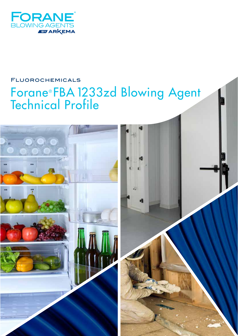

# **FLUOROCHEMICALS** Forane®FBA 1233zd Blowing Agent<br>Technical Profile

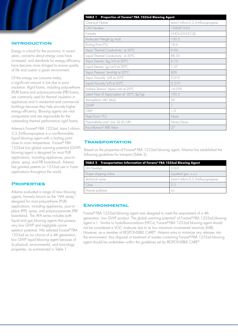# **Introduction**

Energy is critical for the economy. In recent years, concerns about energy costs have increased, and standards for energy efficiency have become more stringent to ensure quality of life and sustain a green environment.

Of the energy we consume today, a significant amount is lost due to poor insulation. Rigid foams, including polyurethane (PUR) foams and polyisocyanurate (PIR) foams, are commonly used for thermal insulation in appliances and in residential and commercial buildings because they help provide higher energy efficiency. Blowing agents are vital components and are responsible for the outstanding thermal performance rigid foams.

Arkema's Forane® FBA 1233zd, trans-1-chloro-3,3,3-trifluoropropene is a non-flammable, liquid blowing agent with a boiling point close to room temperature. Forane® FBA 1233zd low global warming potential (GWP) blowing agent is designed for most PUR applications, including appliances, pour-inplace, spray, and PIR boardstock. Arkema has granted patents on 1233zd use in Foam applications throughout the world.

## **Properties**

Arkema evaluated a range of new blowing agents, formerly known as the "AFA series," designed for most polyurethane (PUR) applications, including appliances, pour-inplace (PIP), spray, and polyisocyanurate (PIR) boardstock. The AFA series includes both liquid and gas blowing agents that possess very low GWP and negligible ozone epletion potential. We selected Forane® FBA 1233zd as our choice of a 4th generation. low GWP liquid blowing agent because of its physical, environmental, and toxicology properties, as summarized in Table 1.

# **TABLE 1 Properties of Forane® FBA 1233zd Blowing Agent** Chemical Name *trans*-1-chloro-3,3,3-trifluoropropene CAS Number 102687-65-0 Formula CHCl=CH-CF3 (E) Molecular Weight (g/mol) 130.5 Boiling Point (°C) 18.6 Vapor Thermal Conductivity<sup>1</sup> at 20°C 9.94 Liquid Thermal Conductivity<sup>1</sup> at 20°C 88.35 Vapor Density<sup>1</sup> (kg/m<sup>3</sup>) at 20°C 6.10 Liquid Density<sup>1</sup> (g/cm<sup>3</sup>) at 20°C  $1.27$ Vapor Pressure<sup>1</sup> (mmHg) at 20°C 809 Vapor Viscosity<sup>1</sup> (cP) at 20°C 0.010 Liquid Viscosity<sup>1</sup> (cP) at 20°C 0.319 Surface Tension<sup>1</sup> (dyne/cm) at 20°C 14.039 Latent Heat of Vaporization at<sup>1</sup> 20°C (kJ/kg)  $193.3$ Atmospheric Life<sup>2</sup> (day) 26  $GWP<sup>2</sup>$  1  $ODP<sup>3</sup>$   $\sim$  0 Flash Point<sup>4</sup> (°C) None Flammability Limit<sup>5</sup> (vol. %) LFL/UFL None/None Kauri-Butanol<sup>6</sup> (KB) Value 27

## **Transportation**

Based on the properties of Forane® FBA 1233zd blowing agent, Arkema has established the following guidelines for transport (Table 2).

| TABLE 2 Transportation Information of Forane® FBA 1233zd Blowing Agent |                                         |  |  |
|------------------------------------------------------------------------|-----------------------------------------|--|--|
| UN Number                                                              | 3163                                    |  |  |
| Proper shipping name                                                   | Liquefied gas, n.o.s                    |  |  |
| Technical name                                                         | trans-1-chloro-3, 3, 3-trifluoropropene |  |  |
| Class                                                                  | 22                                      |  |  |
| Marine pollutant                                                       | no                                      |  |  |

## **Environmental**

Forane® FBA 1233zd blowing agent was designed to meet the requirement of a 4th generation, low GWP product. The global warming potential2 of Forane® FBA 1233zd blowing agent is 1. Similar to hydrofluorocarbons (HFCs), Forane® FBA 1233zd blowing agent should not be considered a VOC molecule due to its low maximum incremental reactivity (MIR). However, as a member of RESPONSIBLE CARE®, Arkema aims to minimize any releases into the environment. Any disposal or treatment of wastes containing Forane® FBA 1233zd blowing agent should be undertaken within the guidelines set by RESPONSIBLE CARE®.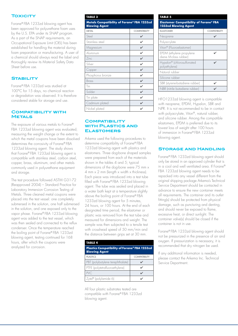# **TOXICITY**

Forane® FBA 1233zd blowing agent has been approved for polyurethane foam uses by the U.S. EPA under its SNAP program. As a part of the SNAP requirements, an Occupational Exposure Limit (OEL) has been established for handling the material during foam preparation or manufacturing. A user of a chemical should always read the label and thoroughly review its Material Safety Data Sheet before use.

# **STABILITY**

Forane® FBA 1233zd was studied at 100°C for 15 days, no chemical reaction or degradation was observed. It is therefore considered stable for storage and use.

## **Compatibility with Metals**

The exposure of various metals to Forane® FBA 1233zd blowing agent was evaluated; measuring the weight change or the extent to which the metal coupons have been dissolved determines the corrosivity of Forane® FBA 1233zd blowing agent. The study shows that Forane® FBA 1233zd blowing agent is compatible with stainless steel, carbon steel, copper, brass, aluminum, and other metals commonly used in polyurethane equipment and storage.

The test procedure followed ASTM G31-72 (Reapproved 2004) – Standard Practice for Laboratory Immersion Corrosion Testing of Metals. Three cleaned metal coupons were placed into the test vessel: one completely submersed in the solution, one half submersed in the solution, and one exposed only to the vapor phase. Forane® FBA 1233zd blowing agent was added to the test vessel, which was then sealed and connected to the reflux condenser. Once the temperature reached the boiling point of Forane® FBA 1233zd blowing agent, testing continued for 168 hours, after which the coupons were analyzed for corrosion.

#### **TABLE 3**

**Metals Compatibility of Forane® FBA 1233zd Blowing Agent**

| <b>METAL</b>      | <b>COMPATIBILITY</b> |  |  |
|-------------------|----------------------|--|--|
| Steel             |                      |  |  |
| Stainless steel   | ✓                    |  |  |
| Magnesium         | ✔                    |  |  |
| Aluminum          | ✓                    |  |  |
| 7inc.             | ✓                    |  |  |
| Silver            | ✓                    |  |  |
| Copper            | V                    |  |  |
| Phosphorus bronze | $\mathbf{v}$         |  |  |
| Brass             | ✓                    |  |  |
| Tin               | ✓                    |  |  |
| Solder            |                      |  |  |
| Tin plate         | ✓                    |  |  |
| Cadmium plated    |                      |  |  |
| Nickel plated     |                      |  |  |

## **Compatibility with Plastics and Elastomers**

Arkema used the following procedures to determine compatibility of Forane® FBA 1233zd blowing agent with plastics and elastomers. Three dog-bone shaped samples were prepared from each of the materials shown in the tables 4 and 5; typical dimensions of the dog-bone were 75 mm x 4 mm  $\times$  2 mm (length  $\times$  width  $\times$  thickness). Each piece was introduced into a test tube filled with Forane® FBA 1233zd blowing agent. The tube was sealed and placed in a water bath kept at a temperature slightly above the boiling point of Forane® FBA 1233zd blowing agent for 5 minutes. 24 hours, or 100 hours. At the end of each designated time period, the elastomer or plastic was removed from the test tube and measured for dimensions and weight. The sample was then subjected to a tensile test with crosshead speed of 50 mm/min and the distance between grips set at 30 mm.

| <b>TABLE 4</b>                                                              |                      |  |  |
|-----------------------------------------------------------------------------|----------------------|--|--|
| <b>Plastics Compatibility of Forane® FBA 1233zd</b><br><b>Blowing Agent</b> |                      |  |  |
| <b>PLASTICS</b>                                                             | <b>COMPATIBILITY</b> |  |  |
| PBT (polybutylene terephthalate)                                            |                      |  |  |
| PTFE (polytetrafluoroethylene)                                              |                      |  |  |
| <b>PVC</b>                                                                  |                      |  |  |
| Zytel® (polylamide 6)                                                       |                      |  |  |

All four plastic substrates tested are compatible with Forane® FBA 1233zd blowing agent.

| TABLE 5                                                               |                      |  |  |
|-----------------------------------------------------------------------|----------------------|--|--|
| <b>Elastomer Compatibility of Forane® FBA</b><br>1233zd Blowing Agent |                      |  |  |
| <b>ELASTOMER</b>                                                      | <b>COMPATIBILITY</b> |  |  |
| Neoprene                                                              |                      |  |  |
| Polyacrylate                                                          |                      |  |  |
| Viton® (Fluoroelastomer)                                              |                      |  |  |
| EPDM (ethylene propylene<br>diene M-class rubber)                     |                      |  |  |
| Hypalon® (chlorosulfonated<br>polyethylene)                           |                      |  |  |
| Natural rubber                                                        |                      |  |  |
| Silicone rubber                                                       |                      |  |  |
| SBR (styrene-butadiene rubber)                                        |                      |  |  |
| NBR (nitrile butadiene rubber)                                        |                      |  |  |

HFO1233zd blowing agent is compatible with neoprene, EPDM, Hypalon, SBR and NPR. It is not recommended to be in contact with polyacrylate, Viton®, natural rubber, and silicone rubber. Among the compatible elastomers, EPDM is preferred due to its lowest loss of weight after 100 hours of immersion in Forane® FBA 1233zd blowing agent.

## **Storage and Handling**

Forane® FBA 1233zd blowing agent should only be stored in an approved cylinder that is in a cool and well ventilated area. If Forane® FBA 1233zd blowing agent needs to be repacked into any vessel different from the original shipping package Arkema's Technical Service Department should be contacted in advance to ensure the new container meets all requirements. The container and its outlet fitting(s) should be protected from physical damage, such as puncturing and denting, and should never be exposed to flame, excessive heat, or direct sunlight. The container valve(s) should be closed if the container is not in use.

Forane® FBA 1233zd blowing agent should not be pressurized in the presence of air and oxygen. If pressurization is necessary, it is recommended that dry nitrogen be used.

If any additional information is needed, please contact the Arkema Inc. Technical Service Department.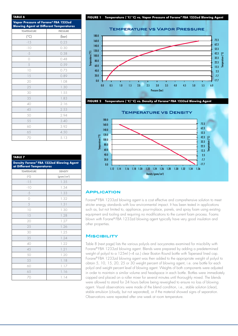| TABLE 6                                                                                |                 |  |  |
|----------------------------------------------------------------------------------------|-----------------|--|--|
| Vapor Pressure of Forane® FBA 1233zd<br><b>Blowing Agent at Different Temperatures</b> |                 |  |  |
| <b>TEMPERATURE</b>                                                                     | <b>PRESSURE</b> |  |  |
| $(^{\circ}C)$                                                                          | (bar)           |  |  |
| $-15$                                                                                  | 0.23            |  |  |
| $-10$                                                                                  | 0.30            |  |  |
| $-5$                                                                                   | 0.38            |  |  |
| $\circ$                                                                                | 0.48            |  |  |
| 5                                                                                      | 0.59            |  |  |
| 10                                                                                     | 0.73            |  |  |
| 15                                                                                     | 0.89            |  |  |
| 20                                                                                     | 1.08            |  |  |
| 25                                                                                     | 1.30            |  |  |
| 30                                                                                     | 1.55            |  |  |
| 35                                                                                     | 1.83            |  |  |
| 40                                                                                     | 2.16            |  |  |
| 45                                                                                     | 2.53            |  |  |
| 50                                                                                     | 2.94            |  |  |
| 55                                                                                     | 3.40            |  |  |
| 60                                                                                     | 3.92            |  |  |
| 65                                                                                     | 4.50            |  |  |
| 70                                                                                     | 5.13            |  |  |

| <b>TABLE 7</b>                                                        |                                       |  |  |  |
|-----------------------------------------------------------------------|---------------------------------------|--|--|--|
| Density Forane® FBA 1233zd Blowing Agent<br>at Different Temperatures |                                       |  |  |  |
| <b>TEMPERATURE</b>                                                    | <b>DENSITY</b>                        |  |  |  |
| $(^{\circ}C)$                                                         | $\frac{1}{2}$ (gram/cm <sup>3</sup> ) |  |  |  |
| $-15$                                                                 | 1.35                                  |  |  |  |
| $-10$                                                                 | 1.34                                  |  |  |  |
| $-5$                                                                  | 1.33                                  |  |  |  |
| $\bigcirc$                                                            | 1.32                                  |  |  |  |
| 5                                                                     | 1.31                                  |  |  |  |
| 10                                                                    | 1.30                                  |  |  |  |
| 15                                                                    | 1.28                                  |  |  |  |
| 20                                                                    | 1.27                                  |  |  |  |
| 25                                                                    | 1.26                                  |  |  |  |
| 30                                                                    | 1.25                                  |  |  |  |
| 35                                                                    | 1.24                                  |  |  |  |
| 40                                                                    | 1.22                                  |  |  |  |
| 45                                                                    | 1.21                                  |  |  |  |
| 50                                                                    | 1.20                                  |  |  |  |
| 55                                                                    | 1.18                                  |  |  |  |
| 60                                                                    | 1.17                                  |  |  |  |
| 65                                                                    | 1.16                                  |  |  |  |
| 70                                                                    | 1.14                                  |  |  |  |

#### **FIGURE 1 Temperature (°F/°C) vs. Vapor Pressure of Forane® FBA 1233zd Blowing Agent**







#### **Application**

Forane® FBA 1233zd blowing agent is a cost effective and comprehensive solution to meet stricter energy standards with low environmental impact. It has been tested in applications such as, but not limited to, appliance, pour-in-place, panels, and spray foam using existing equipment and tooling and requiring no modifications to the current foam process. Foams blown with Forane® FBA 1233zd blowing agent typically have very good insulation and other properties.

#### **Miscibility**

Table 8 (next page) lists the various polyols and isocyanates examined for miscibility with Forane® FBA 1233zd blowing agent. Blends were prepared by adding a predetermined weight of polyol to a 125ml (~4 oz.) clear Boston Round bottle with Taperseal lined cap. Forane® FBA 1233zd blowing agent was then added to the appropriate weight of polyol to obtain 5, 10, 15, 20, 25 or 30 weight percent of blowing agent, i.e. one bottle for each polyol and weight percent level of blowing agent. Weights of both components were adjusted in order to maintain a similar volume and headspace in each bottle. Bottles were immediately capped and placed on a roller mixer for several minutes until thoroughly mixed. The blends were allowed to stand for 24 hours before being reweighed to ensure no loss of blowing agent. Visual observations were made of the blend condition, i.e., stable solution (clear), stable emulsion (cloudy, but not separated), or if the material showed signs of separation. Observations were repeated after one week at room temperature.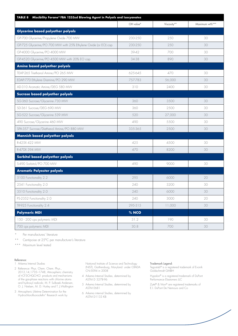| TABLE 8 Miscibility Forane® FBA 1233zd Blowing Agent in Polyols and Isocyanates |           |             |                |  |
|---------------------------------------------------------------------------------|-----------|-------------|----------------|--|
|                                                                                 | OH value* | Viscosity** | Maximum wt%*** |  |
| Glycerine based polyether polyols                                               |           |             |                |  |
| GP-700 Glycerine/Propylene Oxide 700 MW                                         | 230-250   | 250         | 30             |  |
| GP-725 Glycerine/PO 700 MW with 25% Ethylene Oxide (or EO) cap                  | 230-250   | 250         | 30             |  |
| GP-4000 Glycerine/PO 4000 MW                                                    | 39-42     | 700         | 30             |  |
| GP-4520 Glycerine/PO 4500 MW with 20% EO cap                                    | 34-38     | 890         | 30             |  |
| Amine based polyether polyols                                                   |           |             |                |  |
| TEAP-265 Triethanol Amine/PO 265 MW                                             | 625-645   | 470         | 30             |  |
| EDAP-770 Ethylene Diamine/PO 290 MW                                             | 757-783   | 56,000      | 30             |  |
| AD-310 Aromatic Amine/DEG 580 MW                                                | 310       | 2400        | 30             |  |
| Sucrose based polyether polyols                                                 |           |             |                |  |
| SG-360 Sucrose/Glycerine 730 MW                                                 | 360       | 3500        | 30             |  |
| SD-361 Sucrose/DEG 690 MW                                                       | 360       | 2500        | 30             |  |
| SG-522 Sucrose/Glycerine 539 MW                                                 | 520       | 27,000      | 30             |  |
| 490 Sucrose/Glycerine 460 MW                                                    | 490       | 5500        | 30             |  |
| SPA-357 Sucrose/Diethanol Amine/PO 880 MW                                       | 335-365   | 2500        | 30             |  |
| Mannich based polyether polyols                                                 |           |             |                |  |
| R-425X 422 MW                                                                   | 425       | 4500        | 30             |  |
| R-470X 394 MW                                                                   | 470       | 8200        | 30             |  |
| Sorbitol based polyether polyols                                                |           |             |                |  |
| S-490 Sorbitol/PO 700 MW                                                        | 490       | 9000        | 30             |  |
| <b>Aromatic Polyester polyols</b>                                               |           |             |                |  |
| 5100 Functionality 2.2                                                          | 295       | 6000        | 20             |  |
| 2541 Functionality 2.0                                                          | 240       | 3200        | 30             |  |
| 3510 Functionality 2.0                                                          | 240       | 6000        | 30             |  |
| PS-2352 Functionality 2.0                                                       | 240       | 3000        | 20             |  |
| TR-925 Functionality 2.4                                                        | 295-315   | 11,000      | 30             |  |
| <b>Polymeric MDI</b>                                                            | $%$ NCO   |             |                |  |
| 150 - 200 cps polymeric MDI                                                     | 31.2      | 190         | 30             |  |
| 700 cps polymeric MDI                                                           | 30.8      | 700         | 30             |  |

Per manufactures' literature

\*\* Centipoise at 25°C per manufacturer's literature

\*\*\* Maximum level tested

#### Reference:

1 Arkema Internal Studies

- 2 Reference: Phys. Chem. Chem. Phys., 2012,14,1735–1748, Atmospheric chemistry of t-CF3CHQCHCl: products and mechanisms of the gas-phase reactions with chlorine atoms and hydroxyl radicals; M. P. Sulbaek Andersen, O. J. Nielsen, M. D. Hurley and T. J.Wallington
- 3 Atmospheric Lifetime Determination for the Hydrochlorofluoroolefin" Research work by

National Institute of Science and Technology (NIST), Gaithersburg, Maryland under CRADA CN-5094 in 2008

- 4 Arkema Internal Studies, determined by ASTM D 3278-96
- 5 Arkema Internal Studies, determined by ASTM E681
- 6 Arkema internal Studies, determined by ASTM D1133 KB

#### Trademark Legend:

Tegostab® is a registered trademark of Evonik Goldschmidt GMBH

Hypalon® is a registered trademark of DuPont Performance Elastomers LLC

Zytel® & Viton® are registered trademarks of E.I. DuPont De Nemours and Co